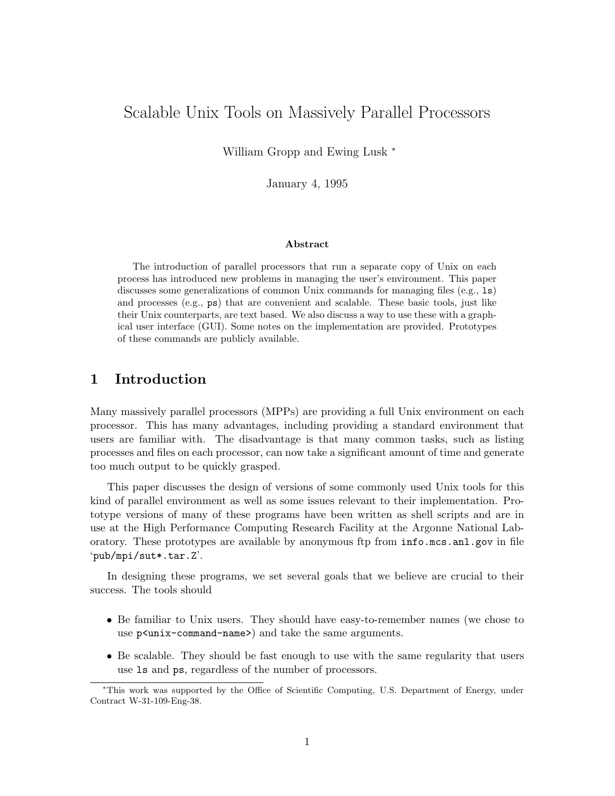# Scalable Unix Tools on Massively Parallel Processors

William Gropp and Ewing Lusk <sup>∗</sup>

January 4, 1995

#### Abstract

The introduction of parallel processors that run a separate copy of Unix on each process has introduced new problems in managing the user's environment. This paper discusses some generalizations of common Unix commands for managing files (e.g., ls) and processes (e.g., ps) that are convenient and scalable. These basic tools, just like their Unix counterparts, are text based. We also discuss a way to use these with a graphical user interface (GUI). Some notes on the implementation are provided. Prototypes of these commands are publicly available.

### 1 Introduction

Many massively parallel processors (MPPs) are providing a full Unix environment on each processor. This has many advantages, including providing a standard environment that users are familiar with. The disadvantage is that many common tasks, such as listing processes and files on each processor, can now take a significant amount of time and generate too much output to be quickly grasped.

This paper discusses the design of versions of some commonly used Unix tools for this kind of parallel environment as well as some issues relevant to their implementation. Prototype versions of many of these programs have been written as shell scripts and are in use at the High Performance Computing Research Facility at the Argonne National Laboratory. These prototypes are available by anonymous ftp from info.mcs.anl.gov in file 'pub/mpi/sut\*.tar.Z'.

In designing these programs, we set several goals that we believe are crucial to their success. The tools should

- Be familiar to Unix users. They should have easy-to-remember names (we chose to use p<unix-command-name>) and take the same arguments.
- Be scalable. They should be fast enough to use with the same regularity that users use ls and ps, regardless of the number of processors.

<sup>∗</sup>This work was supported by the Office of Scientific Computing, U.S. Department of Energy, under Contract W-31-109-Eng-38.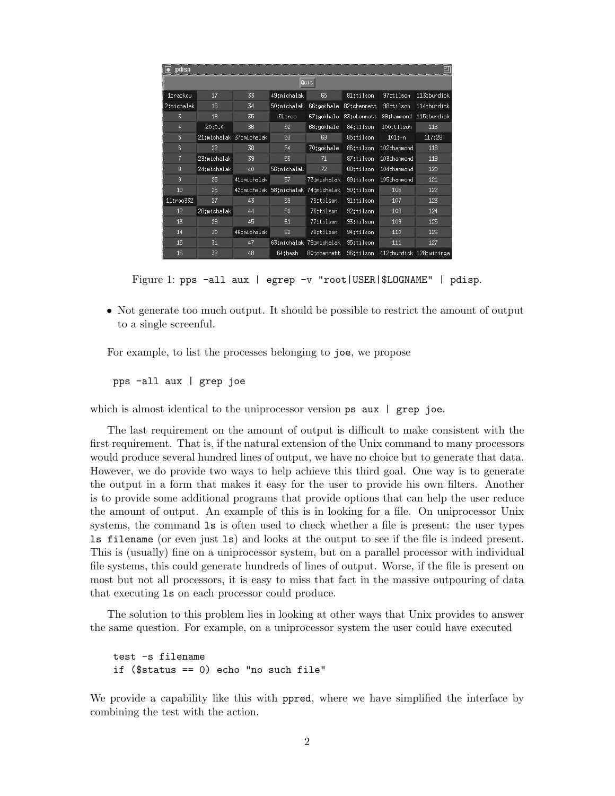|            |             |                         |                                     | Quit                    |             |                         |             |
|------------|-------------|-------------------------|-------------------------------------|-------------------------|-------------|-------------------------|-------------|
| 1:rackow   | 17          | 33                      | 49:michalak                         | 65                      | 81:tilson   | 97:tilson               | 113:burdick |
| 2:michalak | 18          | 34                      | 50:michalak                         | 66:gokhale              | 82:cbennett | 98:tilson               | 114:burdick |
| 3          | 19          | 35                      | $51:$ roo                           | 67:gokhale              | 83:cbennett | 99: hammond             | 115:burdick |
| 4          | 20:0.0      | 36                      | 52                                  | 68:gokhale              | 84:tilson   | 100:tilson              | 116         |
| 5          |             | 21:michalak 37:michalak | 53                                  | 69                      | 85:tilson   | $101: -n$               | 117:28      |
| 6          | 22          | 38                      | 54                                  | 70:gokhale              | 86:tilson   | 102:hammond             | 118         |
| 7          | 23:michalak | 39                      | 55                                  | 71                      | 87:tilson   | 103:hammond             | 119         |
| 8          | 24:michalak | 40                      | 56:michalak                         | 72                      | 88:tilson   | 104: hammond            | 120         |
| 9          | 25          | 41:michalak             | 57                                  | 73:michalak             | 89:tilson   | 105: hammond            | 121         |
| 10         | 26          |                         | 42:michalak 58:michalak 74:michalak |                         | 90:tilson   | 106                     | 122         |
| 11;roo332  | 27          | 43                      | 59                                  | 75:tilson               | 91:tilson   | 107                     | 123         |
| 12         | 28:michalak | 44                      | 60                                  | 76:tilson               | 92:tilson   | 108                     | 124         |
| 13         | 29          | 45                      | 61                                  | 77:tilson               | 93:tilson   | 109                     | 125         |
| 14         | 30          | 46:michalak             | 62                                  | 78:tilson               | 94:tilson   | 110                     | 126         |
| 15         | 31          | 47                      |                                     | 63:michalak 79:michalak | 95:tilson   | 111                     | 127         |
| 16         | 32          | 48                      | 64:bash                             | 80:cbennett             | 96:tilson   | 112:burdick 128:wiringa |             |

Figure 1: pps -all aux | egrep -v "root|USER|\$LOGNAME" | pdisp.

• Not generate too much output. It should be possible to restrict the amount of output to a single screenful.

For example, to list the processes belonging to joe, we propose

pps -all aux | grep joe

which is almost identical to the uniprocessor version ps aux | grep joe.

The last requirement on the amount of output is difficult to make consistent with the first requirement. That is, if the natural extension of the Unix command to many processors would produce several hundred lines of output, we have no choice but to generate that data. However, we do provide two ways to help achieve this third goal. One way is to generate the output in a form that makes it easy for the user to provide his own filters. Another is to provide some additional programs that provide options that can help the user reduce the amount of output. An example of this is in looking for a file. On uniprocessor Unix systems, the command ls is often used to check whether a file is present: the user types ls filename (or even just ls) and looks at the output to see if the file is indeed present. This is (usually) fine on a uniprocessor system, but on a parallel processor with individual file systems, this could generate hundreds of lines of output. Worse, if the file is present on most but not all processors, it is easy to miss that fact in the massive outpouring of data that executing ls on each processor could produce.

The solution to this problem lies in looking at other ways that Unix provides to answer the same question. For example, on a uniprocessor system the user could have executed

```
test -s filename
if ($status == 0) echo "no such file"
```
We provide a capability like this with ppred, where we have simplified the interface by combining the test with the action.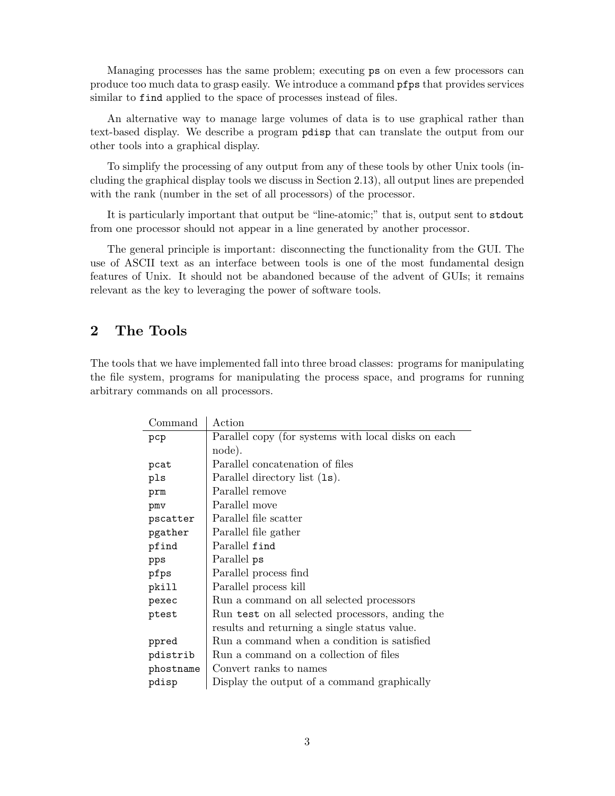Managing processes has the same problem; executing ps on even a few processors can produce too much data to grasp easily. We introduce a command pfps that provides services similar to find applied to the space of processes instead of files.

An alternative way to manage large volumes of data is to use graphical rather than text-based display. We describe a program pdisp that can translate the output from our other tools into a graphical display.

To simplify the processing of any output from any of these tools by other Unix tools (including the graphical display tools we discuss in Section 2.13), all output lines are prepended with the rank (number in the set of all processors) of the processor.

It is particularly important that output be "line-atomic;" that is, output sent to stdout from one processor should not appear in a line generated by another processor.

The general principle is important: disconnecting the functionality from the GUI. The use of ASCII text as an interface between tools is one of the most fundamental design features of Unix. It should not be abandoned because of the advent of GUIs; it remains relevant as the key to leveraging the power of software tools.

## 2 The Tools

The tools that we have implemented fall into three broad classes: programs for manipulating the file system, programs for manipulating the process space, and programs for running arbitrary commands on all processors.

| Command   | Action                                               |
|-----------|------------------------------------------------------|
| pcp       | Parallel copy (for systems with local disks on each) |
|           | node).                                               |
| pcat      | Parallel concatenation of files                      |
| pls       | Parallel directory list (1s).                        |
| prm       | Parallel remove                                      |
| pmv       | Parallel move                                        |
| pscatter  | Parallel file scatter                                |
| pgather   | Parallel file gather                                 |
| pfind     | Parallel find                                        |
| pps       | Parallel ps                                          |
| pfps      | Parallel process find                                |
| pkill     | Parallel process kill                                |
| pexec     | Run a command on all selected processors             |
| ptest     | Run test on all selected processors, anding the      |
|           | results and returning a single status value.         |
| ppred     | Run a command when a condition is satisfied          |
| pdistrib  | Run a command on a collection of files               |
| phostname | Convert ranks to names                               |
| pdisp     | Display the output of a command graphically          |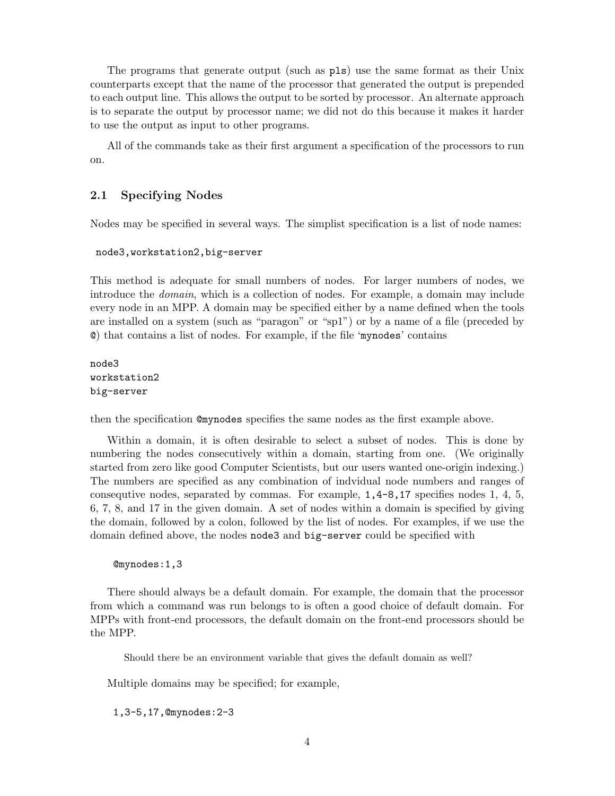The programs that generate output (such as pls) use the same format as their Unix counterparts except that the name of the processor that generated the output is prepended to each output line. This allows the output to be sorted by processor. An alternate approach is to separate the output by processor name; we did not do this because it makes it harder to use the output as input to other programs.

All of the commands take as their first argument a specification of the processors to run on.

### 2.1 Specifying Nodes

Nodes may be specified in several ways. The simplist specification is a list of node names:

```
node3,workstation2,big-server
```
This method is adequate for small numbers of nodes. For larger numbers of nodes, we introduce the *domain*, which is a collection of nodes. For example, a domain may include every node in an MPP. A domain may be specified either by a name defined when the tools are installed on a system (such as "paragon" or "sp1") or by a name of a file (preceded by @) that contains a list of nodes. For example, if the file 'mynodes' contains

node3 workstation2 big-server

then the specification @mynodes specifies the same nodes as the first example above.

Within a domain, it is often desirable to select a subset of nodes. This is done by numbering the nodes consecutively within a domain, starting from one. (We originally started from zero like good Computer Scientists, but our users wanted one-origin indexing.) The numbers are specified as any combination of indvidual node numbers and ranges of consequtive nodes, separated by commas. For example, 1,4-8,17 specifies nodes 1, 4, 5, 6, 7, 8, and 17 in the given domain. A set of nodes within a domain is specified by giving the domain, followed by a colon, followed by the list of nodes. For examples, if we use the domain defined above, the nodes node3 and big-server could be specified with

#### @mynodes:1,3

There should always be a default domain. For example, the domain that the processor from which a command was run belongs to is often a good choice of default domain. For MPPs with front-end processors, the default domain on the front-end processors should be the MPP.

Should there be an environment variable that gives the default domain as well?

Multiple domains may be specified; for example,

```
1,3-5,17,@mynodes:2-3
```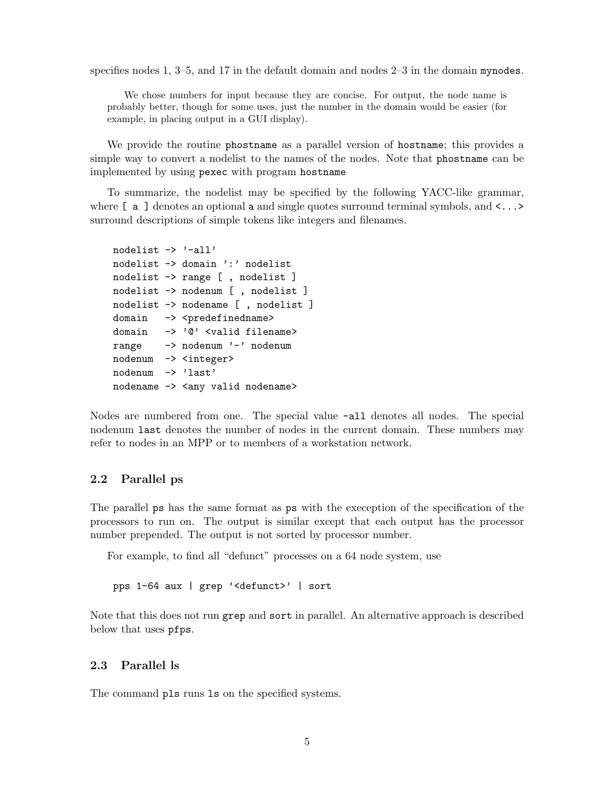specifies nodes 1, 3–5, and 17 in the default domain and nodes 2–3 in the domain mynodes.

We chose numbers for input because they are concise. For output, the node name is probably better, though for some uses, just the number in the domain would be easier (for example, in placing output in a GUI display).

We provide the routine phostname as a parallel version of hostname; this provides a simple way to convert a nodelist to the names of the nodes. Note that phostname can be implemented by using pexec with program hostname

To summarize, the nodelist may be specified by the following YACC-like grammar, where  $\lceil a \rceil$  denotes an optional a and single quotes surround terminal symbols, and  $\langle \ldots \rangle$ surround descriptions of simple tokens like integers and filenames.

```
nodelist -> '-all'
nodelist -> domain ':' nodelist
nodelist -> range [ , nodelist ]
nodelist -> nodenum [ , nodelist ]
nodelist -> nodename [ , nodelist ]
domain -> <predefinedname>
domain -> '@' <valid filename>
range -> nodenum '-' nodenum
nodenum -> <integer>
nodenum -> 'last'
nodename -> <any valid nodename>
```
Nodes are numbered from one. The special value -all denotes all nodes. The special nodenum last denotes the number of nodes in the current domain. These numbers may refer to nodes in an MPP or to members of a workstation network.

### 2.2 Parallel ps

The parallel ps has the same format as ps with the exeception of the specification of the processors to run on. The output is similar except that each output has the processor number prepended. The output is not sorted by processor number.

For example, to find all "defunct" processes on a 64 node system, use

pps 1-64 aux | grep '<defunct>' | sort

Note that this does not run grep and sort in parallel. An alternative approach is described below that uses pfps.

### 2.3 Parallel ls

The command pls runs ls on the specified systems.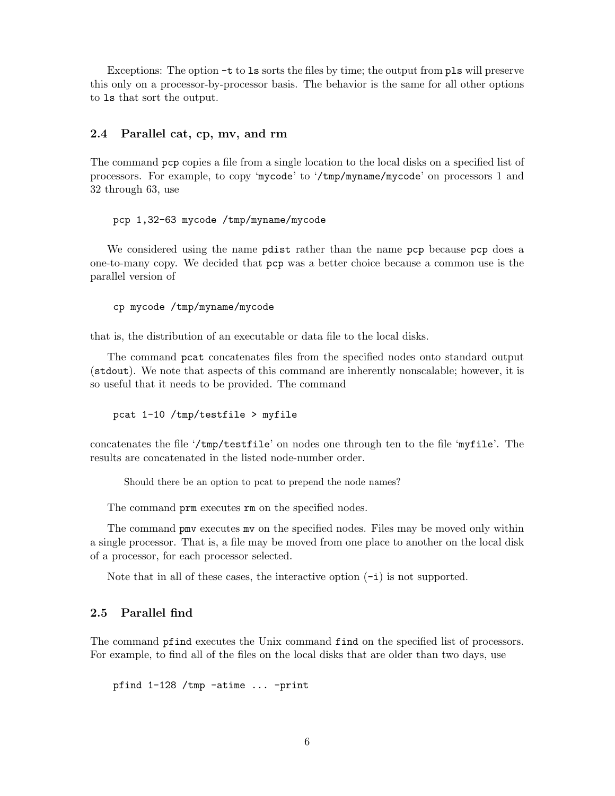Exceptions: The option -t to ls sorts the files by time; the output from pls will preserve this only on a processor-by-processor basis. The behavior is the same for all other options to ls that sort the output.

#### 2.4 Parallel cat, cp, mv, and rm

The command pcp copies a file from a single location to the local disks on a specified list of processors. For example, to copy 'mycode' to '/tmp/myname/mycode' on processors 1 and 32 through 63, use

pcp 1,32-63 mycode /tmp/myname/mycode

We considered using the name pdist rather than the name pcp because pcp does a one-to-many copy. We decided that pcp was a better choice because a common use is the parallel version of

cp mycode /tmp/myname/mycode

that is, the distribution of an executable or data file to the local disks.

The command pcat concatenates files from the specified nodes onto standard output (stdout). We note that aspects of this command are inherently nonscalable; however, it is so useful that it needs to be provided. The command

```
pcat 1-10 /tmp/testfile > myfile
```
concatenates the file '/tmp/testfile' on nodes one through ten to the file 'myfile'. The results are concatenated in the listed node-number order.

Should there be an option to pcat to prepend the node names?

The command prm executes rm on the specified nodes.

The command pmv executes mv on the specified nodes. Files may be moved only within a single processor. That is, a file may be moved from one place to another on the local disk of a processor, for each processor selected.

Note that in all of these cases, the interactive option  $(-i)$  is not supported.

### 2.5 Parallel find

The command pfind executes the Unix command find on the specified list of processors. For example, to find all of the files on the local disks that are older than two days, use

pfind 1-128 /tmp -atime ... -print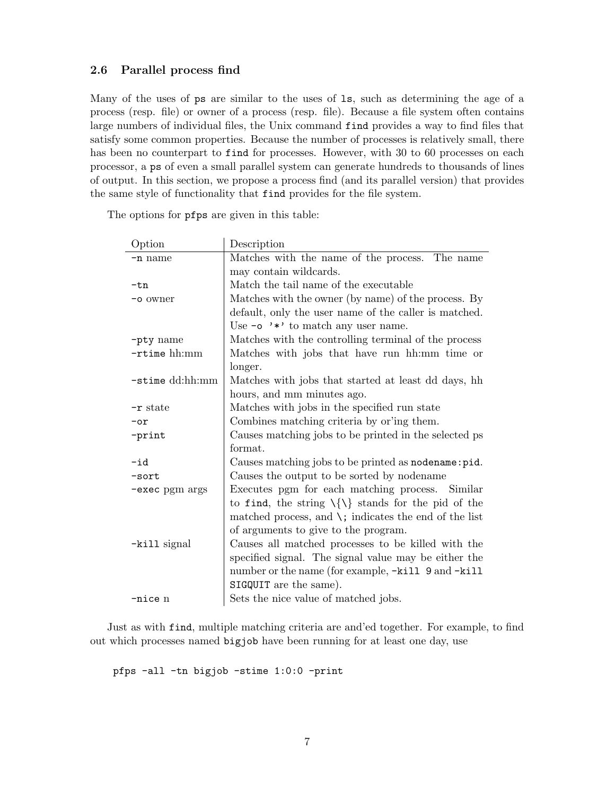### 2.6 Parallel process find

Many of the uses of ps are similar to the uses of ls, such as determining the age of a process (resp. file) or owner of a process (resp. file). Because a file system often contains large numbers of individual files, the Unix command find provides a way to find files that satisfy some common properties. Because the number of processes is relatively small, there has been no counterpart to find for processes. However, with 30 to 60 processes on each processor, a ps of even a small parallel system can generate hundreds to thousands of lines of output. In this section, we propose a process find (and its parallel version) that provides the same style of functionality that find provides for the file system.

The options for pfps are given in this table:

| Option               | Description                                                    |  |  |  |  |
|----------------------|----------------------------------------------------------------|--|--|--|--|
| -n name              | Matches with the name of the process. The name                 |  |  |  |  |
|                      | may contain wildcards.                                         |  |  |  |  |
| $-tn$                | Match the tail name of the executable                          |  |  |  |  |
| -o owner             | Matches with the owner (by name) of the process. By            |  |  |  |  |
|                      | default, only the user name of the caller is matched.          |  |  |  |  |
|                      | Use $\sim$ '*' to match any user name.                         |  |  |  |  |
| -pty name            | Matches with the controlling terminal of the process           |  |  |  |  |
| $-$ rtime $hh:mm$    | Matches with jobs that have run hh:mm time or                  |  |  |  |  |
|                      | longer.                                                        |  |  |  |  |
| $-$ stime $dd:hh:mm$ | Matches with jobs that started at least dd days, hh            |  |  |  |  |
|                      | hours, and mm minutes ago.                                     |  |  |  |  |
| $-r$ state           | Matches with jobs in the specified run state                   |  |  |  |  |
| $-or$                | Combines matching criteria by or ing them.                     |  |  |  |  |
| -print               | Causes matching jobs to be printed in the selected ps          |  |  |  |  |
|                      | format.                                                        |  |  |  |  |
| $-i\,d$              | Causes matching jobs to be printed as nodename: pid.           |  |  |  |  |
| -sort                | Causes the output to be sorted by nodename                     |  |  |  |  |
| -exec pgm args       | Executes pgm for each matching process. Similar                |  |  |  |  |
|                      | to find, the string $\{\{\}\}\$ stands for the pid of the      |  |  |  |  |
|                      | matched process, and $\lambda$ ; indicates the end of the list |  |  |  |  |
|                      | of arguments to give to the program.                           |  |  |  |  |
| -kill signal         | Causes all matched processes to be killed with the             |  |  |  |  |
|                      | specified signal. The signal value may be either the           |  |  |  |  |
|                      | number or the name (for example, -kill 9 and -kill             |  |  |  |  |
|                      | SIGQUIT are the same).                                         |  |  |  |  |
| -nice n              | Sets the nice value of matched jobs.                           |  |  |  |  |

Just as with find, multiple matching criteria are and'ed together. For example, to find out which processes named bigjob have been running for at least one day, use

pfps -all -tn bigjob -stime 1:0:0 -print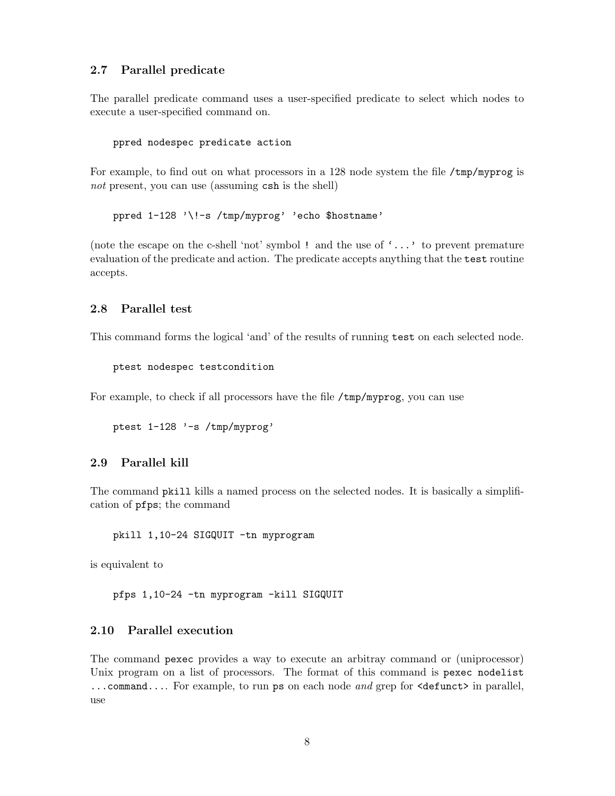### 2.7 Parallel predicate

The parallel predicate command uses a user-specified predicate to select which nodes to execute a user-specified command on.

ppred nodespec predicate action

For example, to find out on what processors in a 128 node system the file  $/\text{tmp/myprog}$  is not present, you can use (assuming csh is the shell)

ppred 1-128 '\!-s /tmp/myprog' 'echo \$hostname'

(note the escape on the c-shell 'not' symbol ! and the use of  $\langle \ldots \rangle$  to prevent premature evaluation of the predicate and action. The predicate accepts anything that the test routine accepts.

### 2.8 Parallel test

This command forms the logical 'and' of the results of running test on each selected node.

```
ptest nodespec testcondition
```
For example, to check if all processors have the file /tmp/myprog, you can use

```
ptest 1-128 '-s /tmp/myprog'
```
### 2.9 Parallel kill

The command pkill kills a named process on the selected nodes. It is basically a simplification of pfps; the command

pkill 1,10-24 SIGQUIT -tn myprogram

is equivalent to

pfps 1,10-24 -tn myprogram -kill SIGQUIT

### 2.10 Parallel execution

The command pexec provides a way to execute an arbitray command or (uniprocessor) Unix program on a list of processors. The format of this command is pexec nodelist ...command.... For example, to run ps on each node and grep for  $\leq$  defunct in parallel, use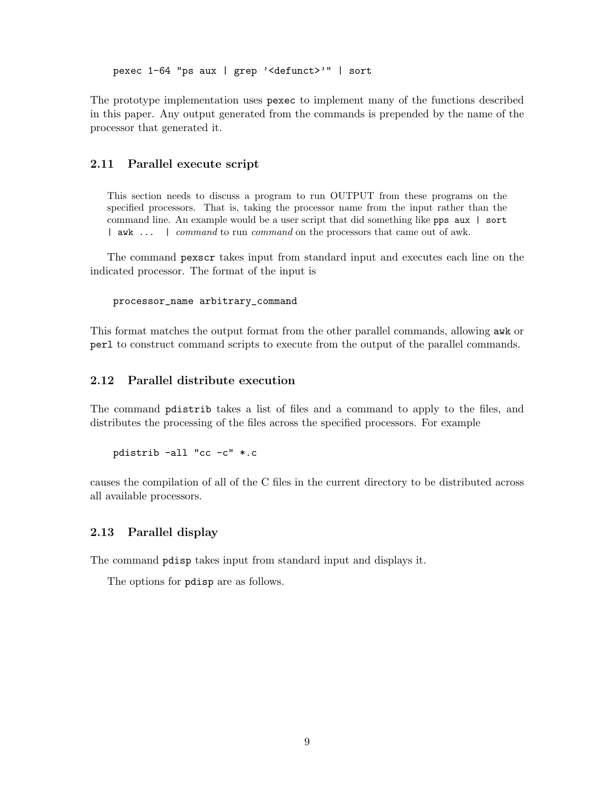pexec 1-64 "ps aux | grep '<defunct>'" | sort

The prototype implementation uses pexec to implement many of the functions described in this paper. Any output generated from the commands is prepended by the name of the processor that generated it.

#### 2.11 Parallel execute script

This section needs to discuss a program to run OUTPUT from these programs on the specified processors. That is, taking the processor name from the input rather than the command line. An example would be a user script that did something like pps aux | sort | awk ... | command to run command on the processors that came out of awk.

The command pexscr takes input from standard input and executes each line on the indicated processor. The format of the input is

processor\_name arbitrary\_command

This format matches the output format from the other parallel commands, allowing awk or perl to construct command scripts to execute from the output of the parallel commands.

### 2.12 Parallel distribute execution

The command pdistrib takes a list of files and a command to apply to the files, and distributes the processing of the files across the specified processors. For example

```
pdistrib -all "cc -c" *.c
```
causes the compilation of all of the C files in the current directory to be distributed across all available processors.

#### 2.13 Parallel display

The command pdisp takes input from standard input and displays it.

The options for pdisp are as follows.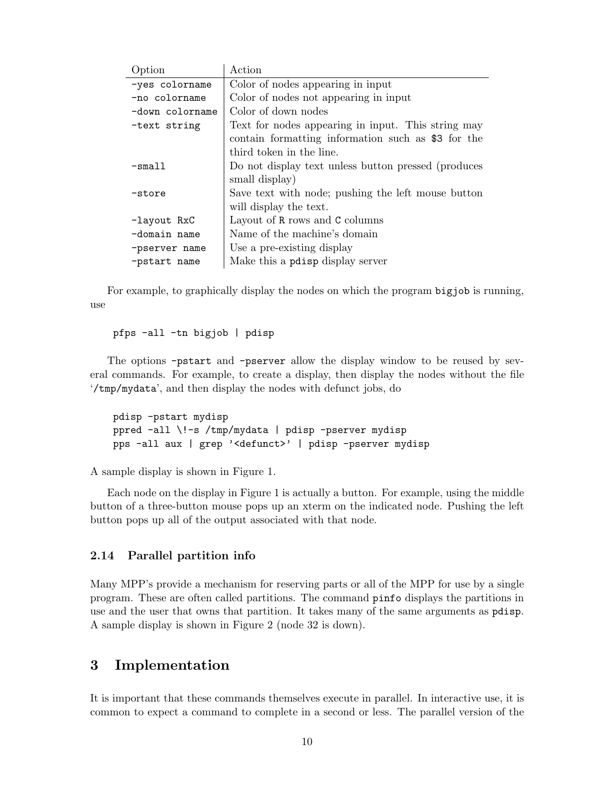| Option          | Action                                              |  |  |
|-----------------|-----------------------------------------------------|--|--|
| -yes colorname  | Color of nodes appearing in input                   |  |  |
| -no colorname   | Color of nodes not appearing in input               |  |  |
| -down colorname | Color of down nodes                                 |  |  |
| -text string    | Text for nodes appearing in input. This string may  |  |  |
|                 | contain formatting information such as \$3 for the  |  |  |
|                 | third token in the line.                            |  |  |
| $-$ small       | Do not display text unless button pressed (produces |  |  |
|                 | small display)                                      |  |  |
| -store          | Save text with node; pushing the left mouse button  |  |  |
|                 | will display the text.                              |  |  |
| -layout RxC     | Layout of R rows and C columns                      |  |  |
| -domain name    | Name of the machine's domain                        |  |  |
| -pserver name   | Use a pre-existing display                          |  |  |
| -pstart name    | Make this a polisp display server                   |  |  |

For example, to graphically display the nodes on which the program bigjob is running, use

pfps -all -tn bigjob | pdisp

The options -pstart and -pserver allow the display window to be reused by several commands. For example, to create a display, then display the nodes without the file '/tmp/mydata', and then display the nodes with defunct jobs, do

pdisp -pstart mydisp ppred -all \!-s /tmp/mydata | pdisp -pserver mydisp pps -all aux | grep '<defunct>' | pdisp -pserver mydisp

A sample display is shown in Figure 1.

Each node on the display in Figure 1 is actually a button. For example, using the middle button of a three-button mouse pops up an xterm on the indicated node. Pushing the left button pops up all of the output associated with that node.

### 2.14 Parallel partition info

Many MPP's provide a mechanism for reserving parts or all of the MPP for use by a single program. These are often called partitions. The command pinfo displays the partitions in use and the user that owns that partition. It takes many of the same arguments as pdisp. A sample display is shown in Figure 2 (node 32 is down).

# 3 Implementation

It is important that these commands themselves execute in parallel. In interactive use, it is common to expect a command to complete in a second or less. The parallel version of the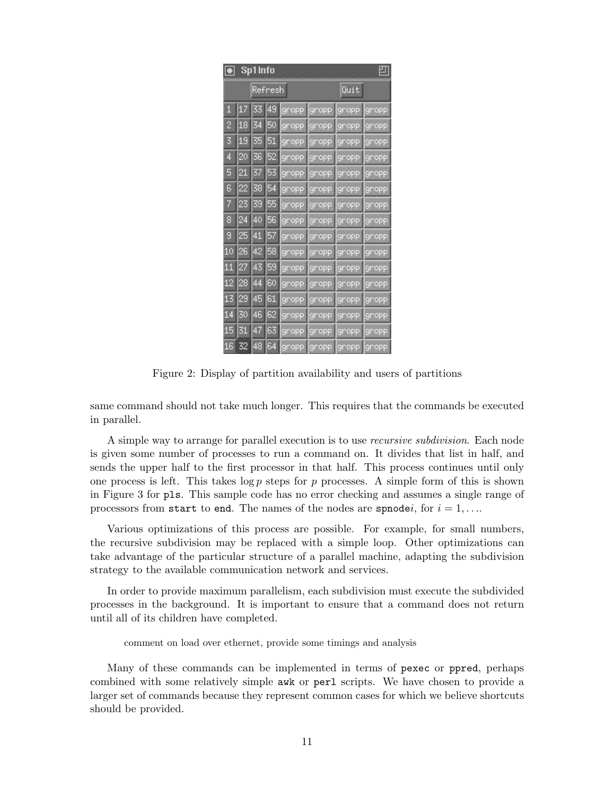| 대<br>Sp1 Info<br>mmm |    |         |    |       |               |              |        |
|----------------------|----|---------|----|-------|---------------|--------------|--------|
|                      |    | Refresh |    |       |               | Quit         |        |
| 1                    | 17 | 33      | 49 | gropp | gropp         | gropp        | gropp  |
| 2                    | 18 | 34      | 50 | gropp | gropp         | gropp        | gropp  |
| 3                    | 19 | 35      | 51 | gropp | gropp         | gropp        | gropp  |
| 4                    | 20 | 36      | 52 | gropp | gropp         | gropp        | gropp  |
| 5                    | 21 | 37      | 53 | gropp | gropp         | gropp        | gropp  |
| 6                    | 22 | 38      | 54 | gropp | gropp         | gropp        | gropp  |
| 7                    | 23 | 39      | 55 | gropp | gropp         | gropp        | gropp  |
| 8                    | 24 | 40      | 56 | gropp | gropp         | gropp        | gropp  |
| 9                    | 25 | 41      | 57 | gropp | gropp         | gropp        | gropp  |
| 10                   | 26 | 42      | 58 | gropp | gropp         | gropp        | gropp  |
| 11                   | 27 | 43      | 59 | gropp | gropp         | gropp        | gropp  |
| 12                   | 28 | 44      | 60 | gropp | jgnopp        | jgropp       | gropp  |
| 13                   | 29 | 45      | 61 | gropp | ignopp        | <b>gropp</b> | ignopp |
| 14                   | 30 | 46      | 62 | gropp | ignopp        | gropp        | gropp  |
| 15                   | 31 | 47      | 63 | gropp | <b>Igmopp</b> | gropp        | gropp  |
| 16                   | 32 | 48      | ĥ4 | gropp | gropp         | gropp        | gropp  |

Figure 2: Display of partition availability and users of partitions

same command should not take much longer. This requires that the commands be executed in parallel.

A simple way to arrange for parallel execution is to use recursive subdivision. Each node is given some number of processes to run a command on. It divides that list in half, and sends the upper half to the first processor in that half. This process continues until only one process is left. This takes  $\log p$  steps for p processes. A simple form of this is shown in Figure 3 for pls. This sample code has no error checking and assumes a single range of processors from start to end. The names of the nodes are spnodei, for  $i = 1, \ldots$ 

Various optimizations of this process are possible. For example, for small numbers, the recursive subdivision may be replaced with a simple loop. Other optimizations can take advantage of the particular structure of a parallel machine, adapting the subdivision strategy to the available communication network and services.

In order to provide maximum parallelism, each subdivision must execute the subdivided processes in the background. It is important to ensure that a command does not return until all of its children have completed.

comment on load over ethernet, provide some timings and analysis

Many of these commands can be implemented in terms of pexec or ppred, perhaps combined with some relatively simple awk or perl scripts. We have chosen to provide a larger set of commands because they represent common cases for which we believe shortcuts should be provided.